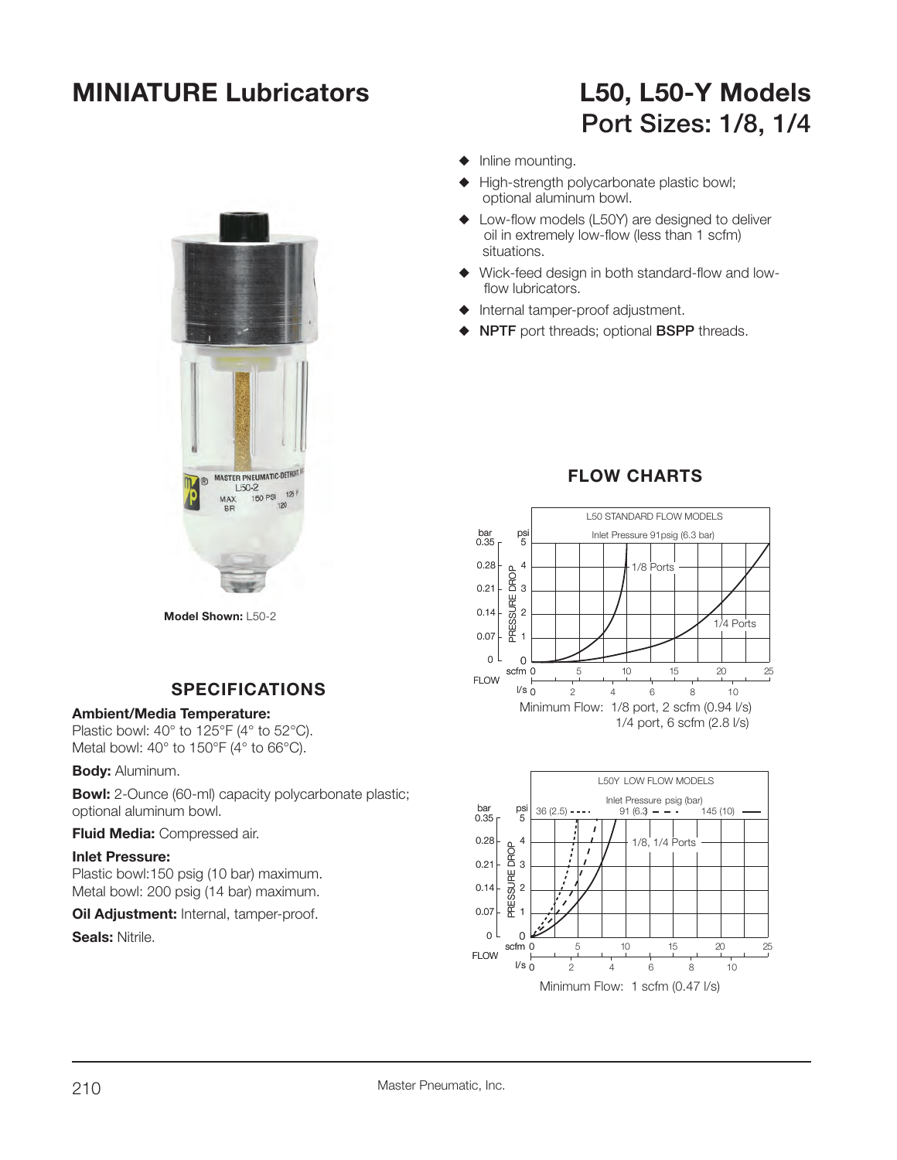## **MINIATURE Lubricators L50, L50-Y Models**

# **Port Sizes: 1/8, 1/4**

- $\blacklozenge$  Inline mounting.
- $\blacklozenge$  High-strength polycarbonate plastic bowl; optional aluminum bowl.
- $\triangle$  Low-flow models (L50Y) are designed to deliver oil in extremely low-flow (less than 1 scfm) situations.
- $\blacklozenge$  Wick-feed design in both standard-flow and lowflow lubricators.
- $\blacklozenge$  Internal tamper-proof adjustment.
- S **NPTF** port threads; optional **BSPP** threads.



**Model Shown:** L50-2

#### **SPECIFICATIONS**

#### **Ambient/Media Temperature:**

Plastic bowl: 40° to 125°F (4° to 52°C). Metal bowl: 40° to 150°F (4° to 66°C).

#### **Body:** Aluminum.

**Bowl:** 2-Ounce (60-ml) capacity polycarbonate plastic; optional aluminum bowl.

**Fluid Media:** Compressed air.

#### **Inlet Pressure:**

Plastic bowl:150 psig (10 bar) maximum. Metal bowl: 200 psig (14 bar) maximum.

**Oil Adjustment: Internal, tamper-proof.** 

**Seals:** Nitrile.

### **FLOW CHARTS**